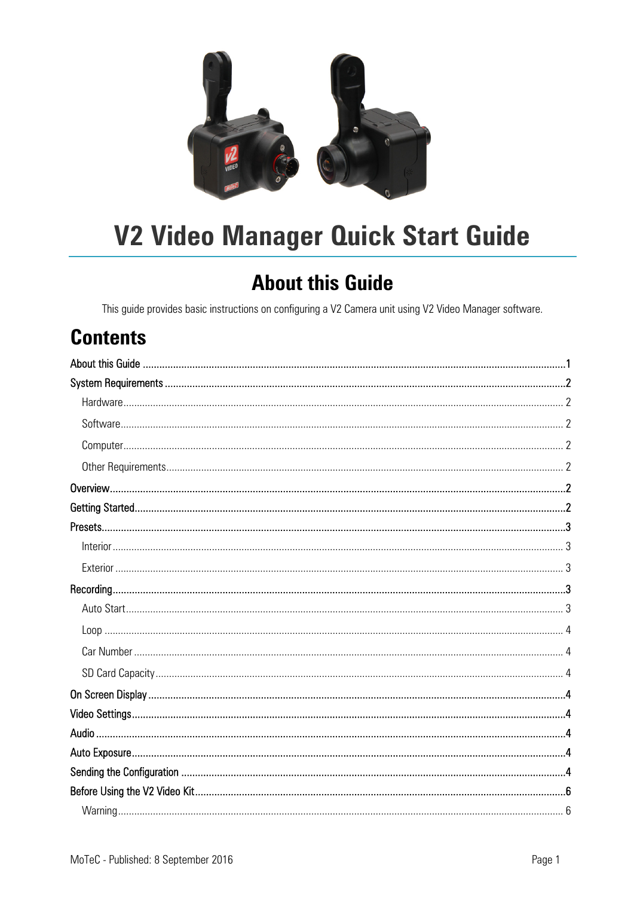

# **V2 Video Manager Quick Start Guide**

### **About this Guide**

This guide provides basic instructions on configuring a V2 Camera unit using V2 Video Manager software.

### **Contents**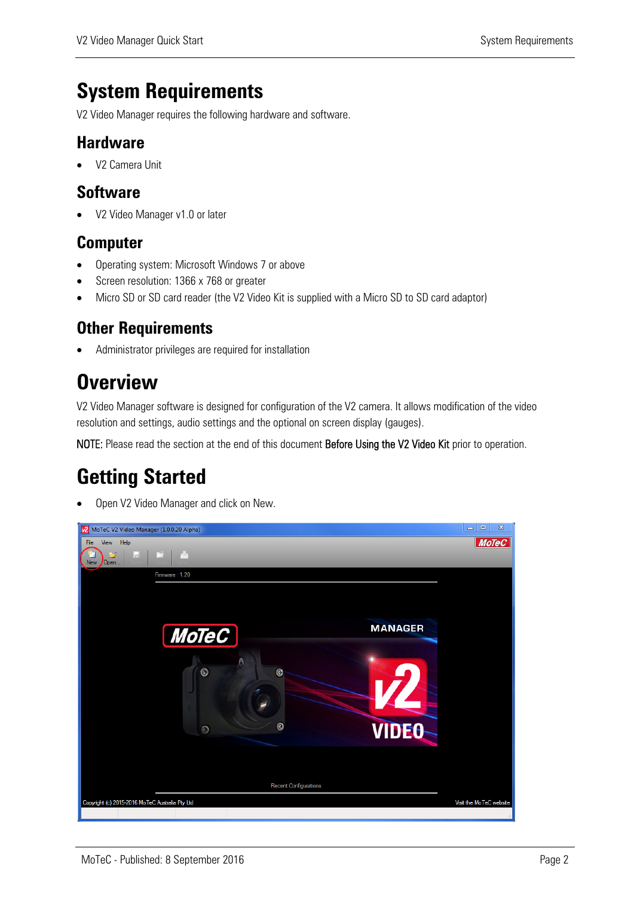### **System Requirements**

V2 Video Manager requires the following hardware and software.

#### **Hardware**

• V2 Camera Unit

#### **Software**

• V2 Video Manager v1.0 or later

#### **Computer**

- Operating system: Microsoft Windows 7 or above
- Screen resolution: 1366 x 768 or greater
- Micro SD or SD card reader (the V2 Video Kit is supplied with a Micro SD to SD card adaptor)

#### **Other Requirements**

Administrator privileges are required for installation

### **Overview**

V2 Video Manager software is designed for configuration of the V2 camera. It allows modification of the video resolution and settings, audio settings and the optional on screen display (gauges).

NOTE: Please read the section at the end of this document Before Using the V2 Video Kit prior to operation.

### **Getting Started**

Open V2 Video Manager and click on New.

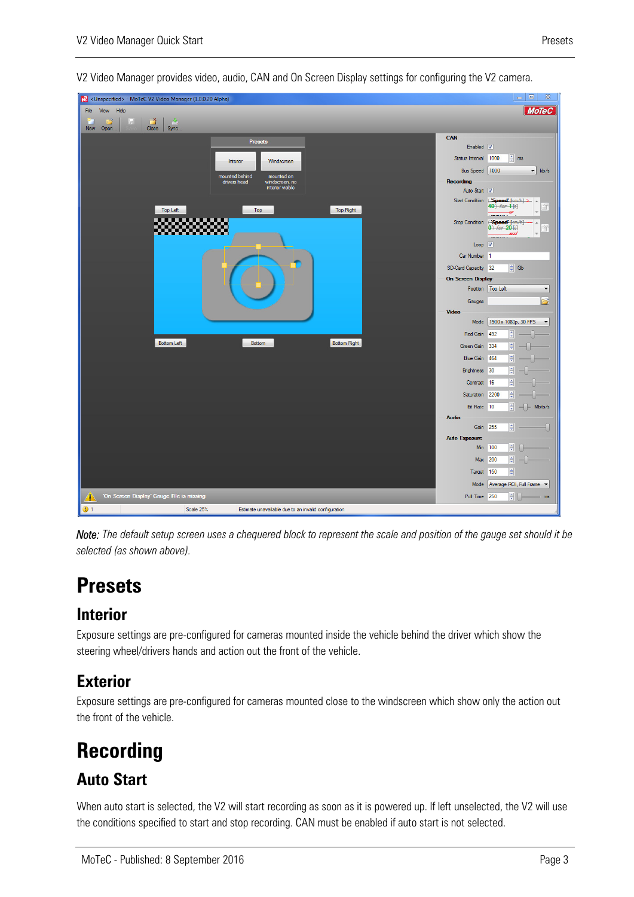

V2 Video Manager provides video, audio, CAN and On Screen Display settings for configuring the V2 camera.

*Note: The default setup screen uses a chequered block to represent the scale and position of the gauge set should it be selected (as shown above).* 

### **Presets**

#### **Interior**

Exposure settings are pre-configured for cameras mounted inside the vehicle behind the driver which show the steering wheel/drivers hands and action out the front of the vehicle.

#### **Exterior**

Exposure settings are pre-configured for cameras mounted close to the windscreen which show only the action out the front of the vehicle.

### **Recording**

#### **Auto Start**

When auto start is selected, the V2 will start recording as soon as it is powered up. If left unselected, the V2 will use the conditions specified to start and stop recording. CAN must be enabled if auto start is not selected.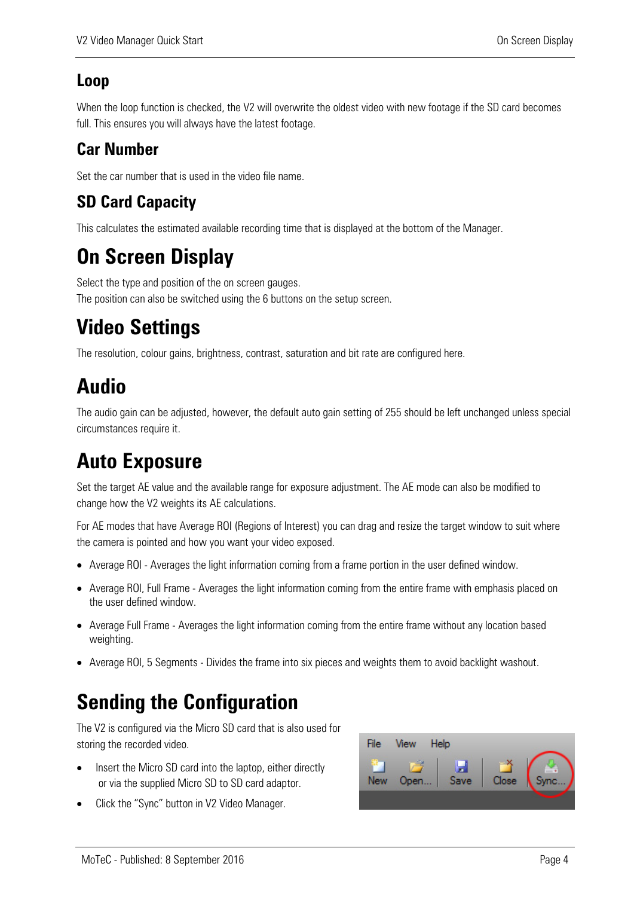#### **Loop**

When the loop function is checked, the V2 will overwrite the oldest video with new footage if the SD card becomes full. This ensures you will always have the latest footage.

#### **Car Number**

Set the car number that is used in the video file name.

#### **SD Card Capacity**

This calculates the estimated available recording time that is displayed at the bottom of the Manager.

# **On Screen Display**

Select the type and position of the on screen gauges. The position can also be switched using the 6 buttons on the setup screen.

# **Video Settings**

The resolution, colour gains, brightness, contrast, saturation and bit rate are configured here.

# **Audio**

The audio gain can be adjusted, however, the default auto gain setting of 255 should be left unchanged unless special circumstances require it.

# **Auto Exposure**

Set the target AE value and the available range for exposure adjustment. The AE mode can also be modified to change how the V2 weights its AE calculations.

For AE modes that have Average ROI (Regions of Interest) you can drag and resize the target window to suit where the camera is pointed and how you want your video exposed.

- Average ROI Averages the light information coming from a frame portion in the user defined window.
- Average ROI, Full Frame Averages the light information coming from the entire frame with emphasis placed on the user defined window.
- Average Full Frame Averages the light information coming from the entire frame without any location based weighting.
- Average ROI, 5 Segments Divides the frame into six pieces and weights them to avoid backlight washout.

### **Sending the Configuration**

The V2 is configured via the Micro SD card that is also used for storing the recorded video.

- Insert the Micro SD card into the laptop, either directly or via the supplied Micro SD to SD card adaptor.
- Click the "Sync" button in V2 Video Manager.

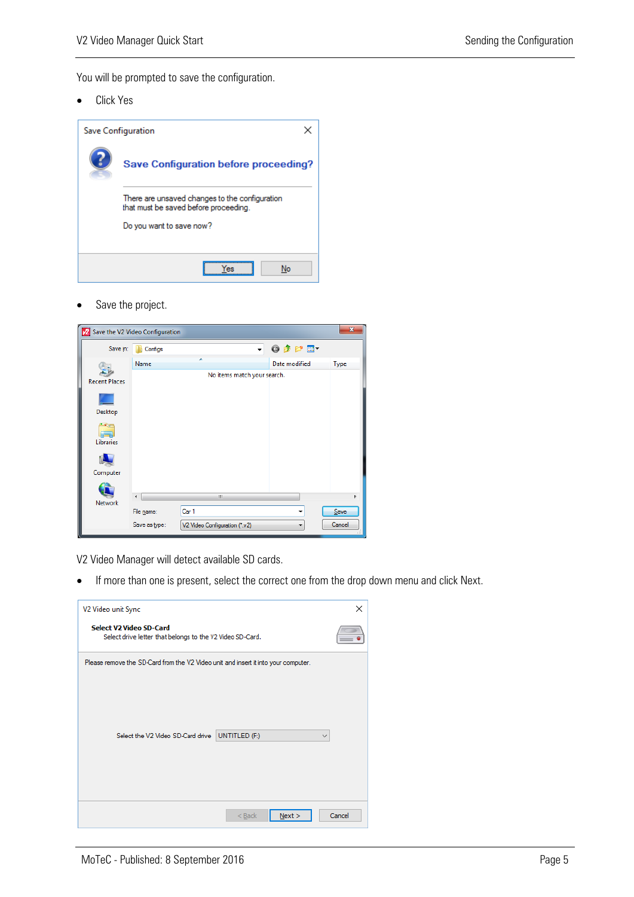You will be prompted to save the configuration.

Click Yes



• Save the project.



V2 Video Manager will detect available SD cards.

If more than one is present, select the correct one from the drop down menu and click Next.

| V2 Video unit Sync                                                                   |                  | ×            |
|--------------------------------------------------------------------------------------|------------------|--------------|
| Select V2 Video SD-Card<br>Select drive letter that belongs to the V2 Video SD-Card. |                  |              |
| Please remove the SD-Card from the V2 Video unit and insert it into your computer.   |                  |              |
|                                                                                      |                  |              |
|                                                                                      |                  |              |
| Select the V2 Video SD-Card drive                                                    | UNTITLED (F:)    | $\checkmark$ |
|                                                                                      |                  |              |
|                                                                                      |                  |              |
|                                                                                      | Next<br>$<$ Back | Cancel       |